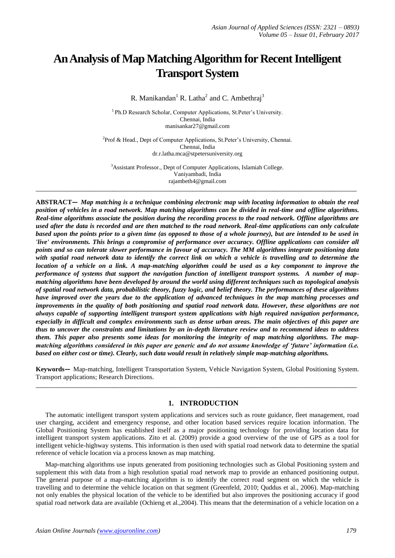# **An Analysis of Map Matching Algorithm for Recent Intelligent Transport System**

R. Manikandan<sup>1</sup> R. Latha<sup>2</sup> and C. Ambethraj<sup>3</sup>

<sup>1</sup> Ph.D Research Scholar, Computer Applications, St.Peter's University. Chennai, India manisankar27@gmail.com

<sup>2</sup>Prof & Head., Dept of Computer Applications, St.Peter's University, Chennai. Chennai, India dr.r.latha.mca@stpetersuniversity.org

<sup>3</sup>Assistant Professor., Dept of Computer Applications, Islamiah College. Vaniyambadi, India rajambeth4@gmail.com **\_\_\_\_\_\_\_\_\_\_\_\_\_\_\_\_\_\_\_\_\_\_\_\_\_\_\_\_\_\_\_\_\_\_\_\_\_\_\_\_\_\_\_\_\_\_\_\_\_\_\_\_\_\_\_\_\_\_\_\_\_\_\_\_\_\_\_\_\_\_\_\_\_\_\_\_\_\_\_\_\_\_\_\_\_\_\_\_**

**ABSTRACT—** *Map matching is a technique combining electronic map with locating information to obtain the real position of vehicles in a road network. Map matching algorithms can be divided in real-time and offline algorithms. Real-time algorithms associate the position during the recording process to the road network. Offline algorithms are used after the data is recorded and are then matched to the road network. Real-time applications can only calculate based upon the points prior to a given time (as opposed to those of a whole journey), but are intended to be used in 'live' environments. This brings a compromise of performance over accuracy. Offline applications can consider all points and so can tolerate slower performance in favour of accuracy. The MM algorithms integrate positioning data with spatial road network data to identify the correct link on which a vehicle is travelling and to determine the location of a vehicle on a link. A map-matching algorithm could be used as a key component to improve the performance of systems that support the navigation function of intelligent transport systems. A number of mapmatching algorithms have been developed by around the world using different techniques such as topological analysis of spatial road network data, probabilistic theory, fuzzy logic, and belief theory. The performances of these algorithms have improved over the years due to the application of advanced techniques in the map matching processes and improvements in the quality of both positioning and spatial road network data. However, these algorithms are not always capable of supporting intelligent transport system applications with high required navigation performance, especially in difficult and complex environments such as dense urban areas. The main objectives of this paper are thus to uncover the constraints and limitations by an in-depth literature review and to recommend ideas to address them. This paper also presents some ideas for monitoring the integrity of map matching algorithms. The mapmatching algorithms considered in this paper are generic and do not assume knowledge of 'future' information (i.e. based on either cost or time). Clearly, such data would result in relatively simple map-matching algorithms.*

**Keywords—** Map-matching, Intelligent Transportation System, Vehicle Navigation System, Global Positioning System. Transport applications; Research Directions. **\_\_\_\_\_\_\_\_\_\_\_\_\_\_\_\_\_\_\_\_\_\_\_\_\_\_\_\_\_\_\_\_\_\_\_\_\_\_\_\_\_\_\_\_\_\_\_\_\_\_\_\_\_\_\_\_\_\_\_\_\_\_\_\_\_\_\_\_\_\_\_\_\_\_\_\_\_\_\_\_\_\_\_\_\_\_\_\_**

### **1. INTRODUCTION**

The automatic intelligent transport system applications and services such as route guidance, fleet management, road user charging, accident and emergency response, and other location based services require location information. The Global Positioning System has established itself as a major positioning technology for providing location data for intelligent transport system applications. Zito et al. (2009) provide a good overview of the use of GPS as a tool for intelligent vehicle-highway systems. This information is then used with spatial road network data to determine the spatial reference of vehicle location via a process known as map matching.

Map-matching algorithms use inputs generated from positioning technologies such as Global Positioning system and supplement this with data from a high resolution spatial road network map to provide an enhanced positioning output. The general purpose of a map-matching algorithm is to identify the correct road segment on which the vehicle is travelling and to determine the vehicle location on that segment (Greenfeld, 2010; Quddus et al., 2006). Map-matching not only enables the physical location of the vehicle to be identified but also improves the positioning accuracy if good spatial road network data are available (Ochieng et al.,2004). This means that the determination of a vehicle location on a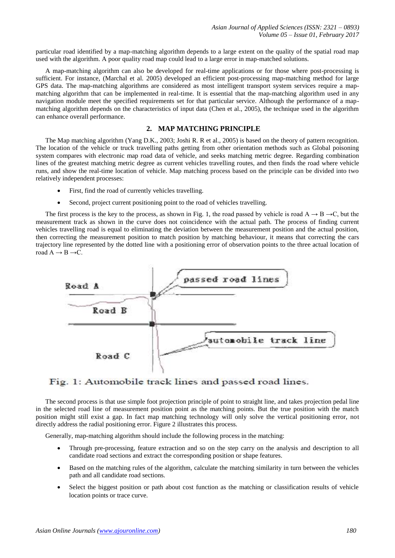particular road identified by a map-matching algorithm depends to a large extent on the quality of the spatial road map used with the algorithm. A poor quality road map could lead to a large error in map-matched solutions.

A map-matching algorithm can also be developed for real-time applications or for those where post-processing is sufficient. For instance, (Marchal et al. 2005) developed an efficient post-processing map-matching method for large GPS data. The map-matching algorithms are considered as most intelligent transport system services require a mapmatching algorithm that can be implemented in real-time. It is essential that the map-matching algorithm used in any navigation module meet the specified requirements set for that particular service. Although the performance of a mapmatching algorithm depends on the characteristics of input data (Chen et al., 2005), the technique used in the algorithm can enhance overall performance.

## **2. MAP MATCHING PRINCIPLE**

The Map matching algorithm (Yang D.K., 2003; Joshi R. R et al., 2005) is based on the theory of pattern recognition. The location of the vehicle or truck travelling paths getting from other orientation methods such as Global poisoning system compares with electronic map road data of vehicle, and seeks matching metric degree. Regarding combination lines of the greatest matching metric degree as current vehicles travelling routes, and then finds the road where vehicle runs, and show the real-time location of vehicle. Map matching process based on the principle can be divided into two relatively independent processes:

- First, find the road of currently vehicles travelling.
- Second, project current positioning point to the road of vehicles travelling.

The first process is the key to the process, as shown in Fig. 1, the road passed by vehicle is road  $A \rightarrow B \rightarrow C$ , but the measurement track as shown in the curve does not coincidence with the actual path. The process of finding current vehicles travelling road is equal to eliminating the deviation between the measurement position and the actual position, then correcting the measurement position to match position by matching behaviour, it means that correcting the cars trajectory line represented by the dotted line with a positioning error of observation points to the three actual location of road  $A \rightarrow B \rightarrow C$ .



## Fig. 1: Automobile track lines and passed road lines.

The second process is that use simple foot projection principle of point to straight line, and takes projection pedal line in the selected road line of measurement position point as the matching points. But the true position with the match position might still exist a gap. In fact map matching technology will only solve the vertical positioning error, not directly address the radial positioning error. Figure 2 illustrates this process.

Generally, map-matching algorithm should include the following process in the matching:

- Through pre-processing, feature extraction and so on the step carry on the analysis and description to all candidate road sections and extract the corresponding position or shape features.
- Based on the matching rules of the algorithm, calculate the matching similarity in turn between the vehicles path and all candidate road sections.
- Select the biggest position or path about cost function as the matching or classification results of vehicle location points or trace curve.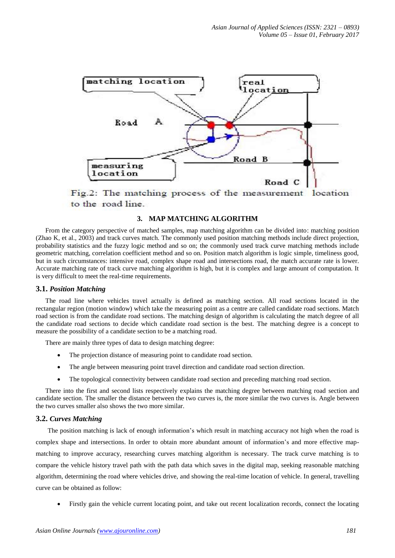

Fig.2: The matching process of the measurement location to the road line.

## **3. MAP MATCHING ALGORITHM**

From the category perspective of matched samples, map matching algorithm can be divided into: matching position (Zhao K, et al., 2003) and track curves match. The commonly used position matching methods include direct projection, probability statistics and the fuzzy logic method and so on; the commonly used track curve matching methods include geometric matching, correlation coefficient method and so on. Position match algorithm is logic simple, timeliness good, but in such circumstances: intensive road, complex shape road and intersections road, the match accurate rate is lower. Accurate matching rate of track curve matching algorithm is high, but it is complex and large amount of computation. It is very difficult to meet the real-time requirements.

### **3.1.** *Position Matching*

The road line where vehicles travel actually is defined as matching section. All road sections located in the rectangular region (motion window) which take the measuring point as a centre are called candidate road sections. Match road section is from the candidate road sections. The matching design of algorithm is calculating the match degree of all the candidate road sections to decide which candidate road section is the best. The matching degree is a concept to measure the possibility of a candidate section to be a matching road.

There are mainly three types of data to design matching degree:

- The projection distance of measuring point to candidate road section.
- The angle between measuring point travel direction and candidate road section direction.
- The topological connectivity between candidate road section and preceding matching road section.

There into the first and second lists respectively explains the matching degree between matching road section and candidate section. The smaller the distance between the two curves is, the more similar the two curves is. Angle between the two curves smaller also shows the two more similar.

#### **3.2.** *Curves Matching*

The position matching is lack of enough information's which result in matching accuracy not high when the road is complex shape and intersections. In order to obtain more abundant amount of information's and more effective mapmatching to improve accuracy, researching curves matching algorithm is necessary. The track curve matching is to compare the vehicle history travel path with the path data which saves in the digital map, seeking reasonable matching algorithm, determining the road where vehicles drive, and showing the real-time location of vehicle. In general, travelling curve can be obtained as follow:

Firstly gain the vehicle current locating point, and take out recent localization records, connect the locating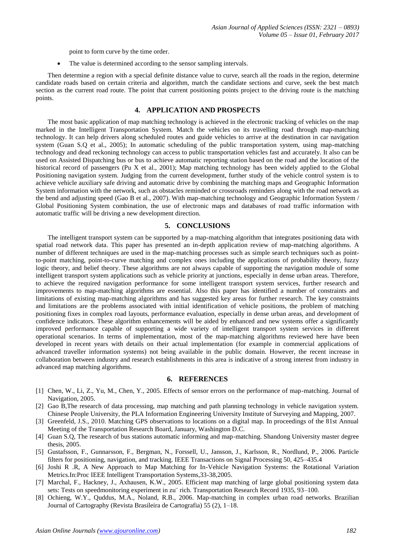point to form curve by the time order.

• The value is determined according to the sensor sampling intervals.

Then determine a region with a special definite distance value to curve, search all the roads in the region, determine candidate roads based on certain criteria and algorithm, match the candidate sections and curve, seek the best match section as the current road route. The point that current positioning points project to the driving route is the matching points.

### **4. APPLICATION AND PROSPECTS**

The most basic application of map matching technology is achieved in the electronic tracking of vehicles on the map marked in the Intelligent Transportation System. Match the vehicles on its travelling road through map-matching technology. It can help drivers along scheduled routes and guide vehicles to arrive at the destination in car navigation system (Guan S.Q et al., 2005); In automatic scheduling of the public transportation system, using map-matching technology and dead reckoning technology can access to public transportation vehicles fast and accurately. It also can be used on Assisted Dispatching bus or bus to achieve automatic reporting station based on the road and the location of the historical record of passengers (Pu X et al., 2001); Map matching technology has been widely applied to the Global Positioning navigation system. Judging from the current development, further study of the vehicle control system is to achieve vehicle auxiliary safe driving and automatic drive by combining the matching maps and Geographic Information System information with the network, such as obstacles reminded or crossroads reminders along with the road network as the bend and adjusting speed (Gao B et al., 2007). With map-matching technology and Geographic Information System / Global Positioning System combination, the use of electronic maps and databases of road traffic information with automatic traffic will be driving a new development direction.

#### **5. CONCLUSIONS**

The intelligent transport system can be supported by a map-matching algorithm that integrates positioning data with spatial road network data. This paper has presented an in-depth application review of map-matching algorithms. A number of different techniques are used in the map-matching processes such as simple search techniques such as pointto-point matching, point-to-curve matching and complex ones including the applications of probability theory, fuzzy logic theory, and belief theory. These algorithms are not always capable of supporting the navigation module of some intelligent transport system applications such as vehicle priority at junctions, especially in dense urban areas. Therefore, to achieve the required navigation performance for some intelligent transport system services, further research and improvements to map-matching algorithms are essential. Also this paper has identified a number of constraints and limitations of existing map-matching algorithms and has suggested key areas for further research. The key constraints and limitations are the problems associated with initial identification of vehicle positions, the problem of matching positioning fixes in complex road layouts, performance evaluation, especially in dense urban areas, and development of confidence indicators. These algorithm enhancements will be aided by enhanced and new systems offer a significantly improved performance capable of supporting a wide variety of intelligent transport system services in different operational scenarios. In terms of implementation, most of the map-matching algorithms reviewed here have been developed in recent years with details on their actual implementation (for example in commercial applications of advanced traveller information systems) not being available in the public domain. However, the recent increase in collaboration between industry and research establishments in this area is indicative of a strong interest from industry in advanced map matching algorithms.

#### **6. REFERENCES**

- [1] Chen, W., Li, Z., Yu, M., Chen, Y., 2005. Effects of sensor errors on the performance of map-matching. Journal of Navigation, 2005.
- [2] Gao B,The research of data processing, map matching and path planning technology in vehicle navigation system. Chinese People University, the PLA Information Engineering University Institute of Surveying and Mapping, 2007.
- [3] Greenfeld, J.S., 2010. Matching GPS observations to locations on a digital map. In proceedings of the 81st Annual Meeting of the Transportation Research Board, January, Washington D.C.
- [4] Guan S.Q, The research of bus stations automatic informing and map-matching. Shandong University master degree thesis, 2005.
- [5] Gustafsson, F., Gunnarsson, F., Bergman, N., Forssell, U., Jansson, J., Karlsson, R., Nordlund, P., 2006. Particle filters for positioning, navigation, and tracking. IEEE Transactions on Signal Processing 50, 425–435.4
- [6] Joshi R .R, A New Approach to Map Matching for In-Vehicle Navigation Systems: the Rotational Variation Metrics.In:Proc IEEE Intelligent Transportation Systems,33-38,2005.
- [7] Marchal, F., Hackney, J., Axhausen, K.W., 2005. Efficient map matching of large global positioning system data sets: Tests on speedmonitoring experiment in zu¨ rich. Transportation Research Record 1935, 93–100.
- [8] Ochieng, W.Y., Quddus, M.A., Noland, R.B., 2006. Map-matching in complex urban road networks. Brazilian Journal of Cartography (Revista Brasileira de Cartografia) 55 (2), 1–18.